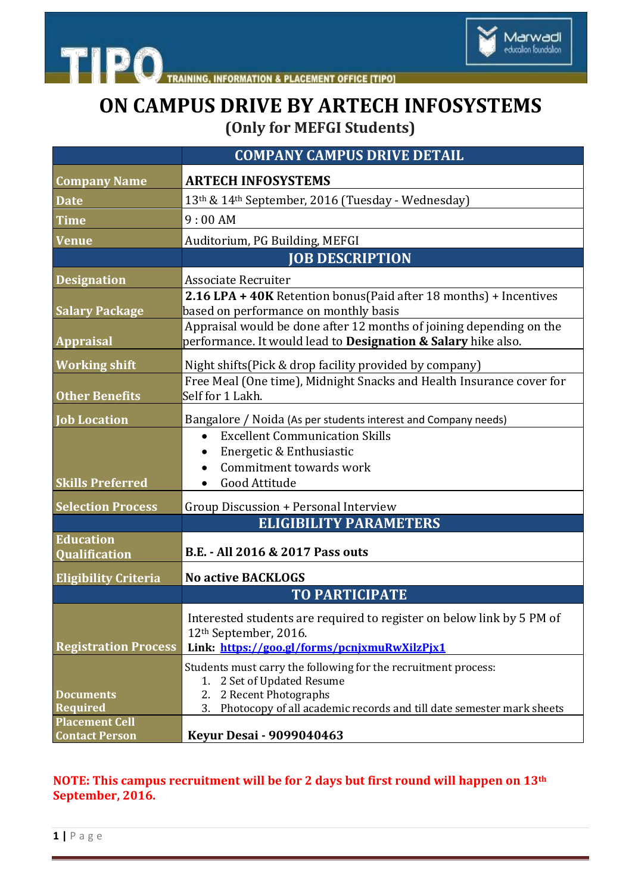

**TIPO TRAINING, INFORMATION & PLACEMENT OFFICE [TIPO]** 

## **ON CAMPUS DRIVE BY ARTECH INFOSYSTEMS (Only for MEFGI Students)**

|                                                | <b>COMPANY CAMPUS DRIVE DETAIL</b>                                                                                                                                                                       |
|------------------------------------------------|----------------------------------------------------------------------------------------------------------------------------------------------------------------------------------------------------------|
| <b>Company Name</b>                            | <b>ARTECH INFOSYSTEMS</b>                                                                                                                                                                                |
| <b>Date</b>                                    | 13th & 14th September, 2016 (Tuesday - Wednesday)                                                                                                                                                        |
| <b>Time</b>                                    | 9:00AM                                                                                                                                                                                                   |
| <b>Venue</b>                                   | Auditorium, PG Building, MEFGI                                                                                                                                                                           |
|                                                | <b>JOB DESCRIPTION</b>                                                                                                                                                                                   |
| <b>Designation</b>                             | <b>Associate Recruiter</b>                                                                                                                                                                               |
| <b>Salary Package</b>                          | 2.16 LPA + 40K Retention bonus(Paid after 18 months) + Incentives<br>based on performance on monthly basis                                                                                               |
| <b>Appraisal</b>                               | Appraisal would be done after 12 months of joining depending on the<br>performance. It would lead to <b>Designation &amp; Salary</b> hike also.                                                          |
| <b>Working shift</b>                           | Night shifts (Pick & drop facility provided by company)                                                                                                                                                  |
| <b>Other Benefits</b>                          | Free Meal (One time), Midnight Snacks and Health Insurance cover for<br>Self for 1 Lakh.                                                                                                                 |
| <b>Job Location</b>                            | Bangalore / Noida (As per students interest and Company needs)                                                                                                                                           |
| <b>Skills Preferred</b>                        | <b>Excellent Communication Skills</b><br>$\bullet$<br>Energetic & Enthusiastic<br>Commitment towards work<br>$\bullet$<br>Good Attitude                                                                  |
| <b>Selection Process</b>                       | Group Discussion + Personal Interview                                                                                                                                                                    |
|                                                | <b>ELIGIBILITY PARAMETERS</b>                                                                                                                                                                            |
| <b>Education</b><br>Qualification              | B.E. - All 2016 & 2017 Pass outs                                                                                                                                                                         |
| <b>Eligibility Criteria</b>                    | <b>No active BACKLOGS</b>                                                                                                                                                                                |
|                                                | <b>TO PARTICIPATE</b>                                                                                                                                                                                    |
| <b>Registration Process</b>                    | Interested students are required to register on below link by 5 PM of<br>12 <sup>th</sup> September, 2016.<br>Link: https://goo.gl/forms/pcnjxmuRwXilzPjx1                                               |
| <b>Documents</b><br><b>Required</b>            | Students must carry the following for the recruitment process:<br>1. 2 Set of Updated Resume<br>2 Recent Photographs<br>2.<br>Photocopy of all academic records and till date semester mark sheets<br>3. |
| <b>Placement Cell</b><br><b>Contact Person</b> | <b>Keyur Desai - 9099040463</b>                                                                                                                                                                          |

## **NOTE: This campus recruitment will be for 2 days but first round will happen on 13th September, 2016.**